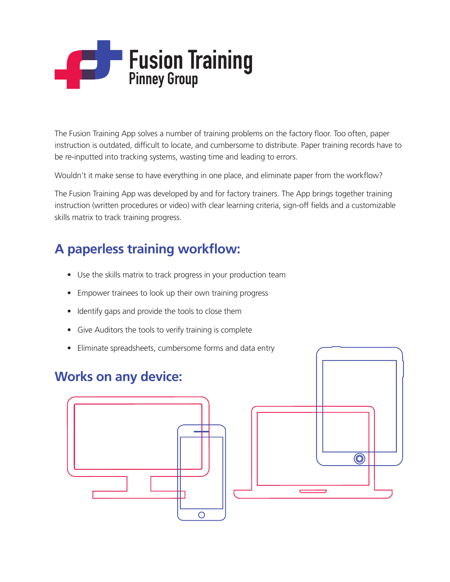# **Fusion Training Pinney Group**

The Fusion Training App solves a number of training problems on the factory floor. Too often, paper instruction is outdated, difficult to locate, and cumbersome to distribute. Paper training records have to be re-inputted into tracking systems, wasting time and leading to errors.

Wouldn't it make sense to have everything in one place, and eliminate paper from the workflow?

The Fusion Training App was developed by and for factory trainers. The App brings together training instruction (written procedures or video) with clear learning criteria, sign-off fields and a customizable skills matrix to track training progress.

## **A paperless training workflow:**

- Use the skills matrix to track progress in your production team
- Empower trainees to look up their own training progress
- Identify gaps and provide the tools to close them
- Give Auditors the tools to verify training is complete
- Eliminate spreadsheets, cumbersome forms and data entry

### **Works on any device:**